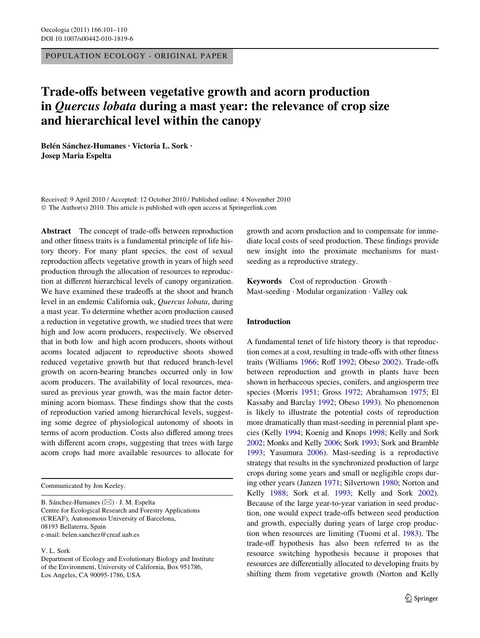POPULATION ECOLOGY - ORIGINAL PAPER

# **Trade-offs between vegetative growth and acorn production in** *Quercus lobata* **during a mast year: the relevance of crop size and hierarchical level within the canopy**

**Belén Sánchez-Humanes · Victoria L. Sork · Josep Maria Espelta** 

Received: 9 April 2010 / Accepted: 12 October 2010 / Published online: 4 November 2010 © The Author(s) 2010. This article is published with open access at Springerlink.com

**Abstract** The concept of trade-offs between reproduction and other fitness traits is a fundamental principle of life history theory. For many plant species, the cost of sexual reproduction affects vegetative growth in years of high seed production through the allocation of resources to reproduction at different hierarchical levels of canopy organization. We have examined these tradeoffs at the shoot and branch level in an endemic California oak, *Quercus lobata*, during a mast year. To determine whether acorn production caused a reduction in vegetative growth, we studied trees that were high and low acorn producers, respectively. We observed that in both low and high acorn producers, shoots without acorns located adjacent to reproductive shoots showed reduced vegetative growth but that reduced branch-level growth on acorn-bearing branches occurred only in low acorn producers. The availability of local resources, measured as previous year growth, was the main factor determining acorn biomass. These findings show that the costs of reproduction varied among hierarchical levels, suggesting some degree of physiological autonomy of shoots in terms of acorn production. Costs also differed among trees with different acorn crops, suggesting that trees with large acorn crops had more available resources to allocate for

B. Sánchez-Humanes (&) · J. M. Espelta Centre for Ecological Research and Forestry Applications (CREAF), Autonomous University of Barcelona, 08193 Bellaterra, Spain e-mail: belen.sanchez@creaf.uab.es

V. L. Sork

growth and acorn production and to compensate for immediate local costs of seed production. These findings provide new insight into the proximate mechanisms for mastseeding as a reproductive strategy.

**Keywords** Cost of reproduction · Growth · Mast-seeding · Modular organization · Valley oak

## **Introduction**

A fundamental tenet of life history theory is that reproduction comes at a cost, resulting in trade-offs with other fitness traits (Williams  $1966$ ; Roff  $1992$ ; Obeso  $2002$ ). Trade-offs between reproduction and growth in plants have been shown in herbaceous species, conifers, and angiosperm tree species (Morris [1951](#page-9-3); Gross [1972](#page-8-0); Abrahamson [1975;](#page-8-1) El Kassaby and Barclay [1992](#page-8-2); Obeso [1993\)](#page-9-4). No phenomenon is likely to illustrate the potential costs of reproduction more dramatically than mast-seeding in perennial plant species (Kelly [1994;](#page-8-3) Koenig and Knops [1998](#page-9-5); Kelly and Sork [2002;](#page-8-4) Monks and Kelly [2006;](#page-9-6) Sork [1993;](#page-9-7) Sork and Bramble [1993](#page-9-8); Yasumura [2006](#page-9-9)). Mast-seeding is a reproductive strategy that results in the synchronized production of large crops during some years and small or negligible crops during other years (Janzen [1971;](#page-8-5) Silvertown [1980](#page-9-10); Norton and Kelly [1988;](#page-9-11) Sork et al. [1993;](#page-9-12) Kelly and Sork [2002](#page-8-4)). Because of the large year-to-year variation in seed production, one would expect trade-offs between seed production and growth, especially during years of large crop production when resources are limiting (Tuomi et al. [1983](#page-9-13)). The trade-off hypothesis has also been referred to as the resource switching hypothesis because it proposes that resources are differentially allocated to developing fruits by shifting them from vegetative growth (Norton and Kelly

Communicated by Jon Keeley.

Department of Ecology and Evolutionary Biology and Institute of the Environment, University of California, Box 951786, Los Angeles, CA 90095-1786, USA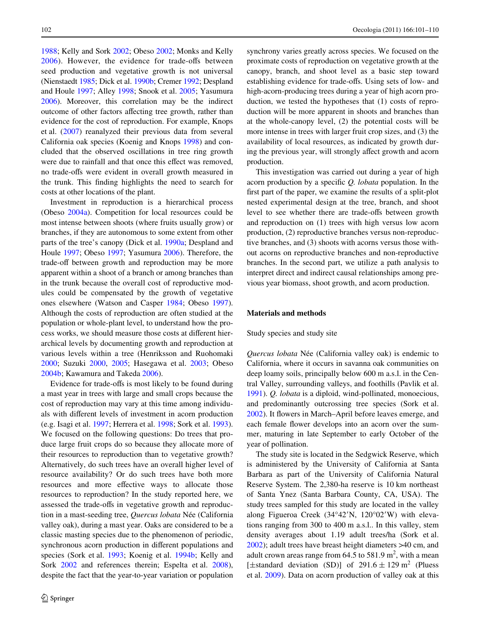[1988](#page-9-11); Kelly and Sork [2002](#page-8-4); Obeso [2002;](#page-9-2) Monks and Kelly  $2006$ ). However, the evidence for trade-offs between seed production and vegetative growth is not universal (Nienstaedt [1985;](#page-9-14) Dick et al. [1990b;](#page-8-6) Cremer [1992](#page-8-7); Despland and Houle [1997;](#page-8-8) Alley [1998](#page-8-9); Snook et al. [2005;](#page-9-15) Yasumura [2006](#page-9-9)). Moreover, this correlation may be the indirect outcome of other factors affecting tree growth, rather than evidence for the cost of reproduction. For example, Knops et al. [\(2007](#page-9-16)) reanalyzed their previous data from several California oak species (Koenig and Knops [1998](#page-9-5)) and concluded that the observed oscillations in tree ring growth were due to rainfall and that once this effect was removed, no trade-offs were evident in overall growth measured in the trunk. This finding highlights the need to search for costs at other locations of the plant.

Investment in reproduction is a hierarchical process (Obeso [2004a](#page-9-17)). Competition for local resources could be most intense between shoots (where fruits usually grow) or branches, if they are autonomous to some extent from other parts of the tree's canopy (Dick et al. [1990a](#page-8-10); Despland and Houle [1997;](#page-8-8) Obeso [1997;](#page-9-18) Yasumura [2006](#page-9-9)). Therefore, the trade-off between growth and reproduction may be more apparent within a shoot of a branch or among branches than in the trunk because the overall cost of reproductive modules could be compensated by the growth of vegetative ones elsewhere (Watson and Casper [1984;](#page-9-19) Obeso [1997](#page-9-18)). Although the costs of reproduction are often studied at the population or whole-plant level, to understand how the process works, we should measure those costs at different hierarchical levels by documenting growth and reproduction at various levels within a tree (Henriksson and Ruohomaki [2000](#page-8-11); Suzuki [2000](#page-9-20), [2005](#page-9-21); Hasegawa et al. [2003](#page-8-12); Obeso [2004b](#page-9-22); Kawamura and Takeda [2006](#page-8-13)).

Evidence for trade-offs is most likely to be found during a mast year in trees with large and small crops because the cost of reproduction may vary at this time among individuals with different levels of investment in acorn production (e.g. Isagi et al. [1997;](#page-8-14) Herrera et al. [1998;](#page-8-15) Sork et al. [1993](#page-9-12)). We focused on the following questions: Do trees that produce large fruit crops do so because they allocate more of their resources to reproduction than to vegetative growth? Alternatively, do such trees have an overall higher level of resource availability? Or do such trees have both more resources and more effective ways to allocate those resources to reproduction? In the study reported here, we assessed the trade-offs in vegetative growth and reproduction in a mast-seeding tree, *Quercus lobata* Née (California valley oak), during a mast year. Oaks are considered to be a classic masting species due to the phenomenon of periodic, synchronous acorn production in different populations and species (Sork et al. [1993](#page-9-12); Koenig et al. [1994b;](#page-9-23) Kelly and Sork [2002](#page-8-4) and references therein; Espelta et al. [2008](#page-8-16)), despite the fact that the year-to-year variation or population

synchrony varies greatly across species. We focused on the proximate costs of reproduction on vegetative growth at the canopy, branch, and shoot level as a basic step toward establishing evidence for trade-offs. Using sets of low- and high-acorn-producing trees during a year of high acorn production, we tested the hypotheses that (1) costs of reproduction will be more apparent in shoots and branches than at the whole-canopy level, (2) the potential costs will be more intense in trees with larger fruit crop sizes, and (3) the availability of local resources, as indicated by growth during the previous year, will strongly affect growth and acorn production.

This investigation was carried out during a year of high acorn production by a specific *Q. lobata* population. In the first part of the paper, we examine the results of a split-plot nested experimental design at the tree, branch, and shoot level to see whether there are trade-offs between growth and reproduction on (1) trees with high versus low acorn production, (2) reproductive branches versus non-reproductive branches, and (3) shoots with acorns versus those without acorns on reproductive branches and non-reproductive branches. In the second part, we utilize a path analysis to interpret direct and indirect causal relationships among previous year biomass, shoot growth, and acorn production.

### **Materials and methods**

#### Study species and study site

*Quercus lobata* Née (California valley oak) is endemic to California, where it occurs in savanna oak communities on deep loamy soils, principally below 600 m a.s.l. in the Central Valley, surrounding valleys, and foothills (Pavlik et al. [1991](#page-9-24)). *Q. lobata* is a diploid, wind-pollinated, monoecious, and predominantly outcrossing tree species (Sork et al. [2002](#page-9-25)). It flowers in March–April before leaves emerge, and each female flower develops into an acorn over the summer, maturing in late September to early October of the year of pollination.

The study site is located in the Sedgwick Reserve, which is administered by the University of California at Santa Barbara as part of the University of California Natural Reserve System. The 2,380-ha reserve is 10 km northeast of Santa Ynez (Santa Barbara County, CA, USA). The study trees sampled for this study are located in the valley along Figueroa Creek (34°42'N, 120°02'W) with elevations ranging from 300 to 400 m a.s.l.. In this valley, stem density averages about 1.19 adult trees/ha (Sork et al. [2002](#page-9-25)); adult trees have breast height diameters >40 cm, and adult crown areas range from  $64.5$  to  $581.9$  m<sup>2</sup>, with a mean [ $\pm$ standard deviation (SD)] of 291.6  $\pm$  129 m<sup>2</sup> (Pluess et al. [2009\)](#page-9-26). Data on acorn production of valley oak at this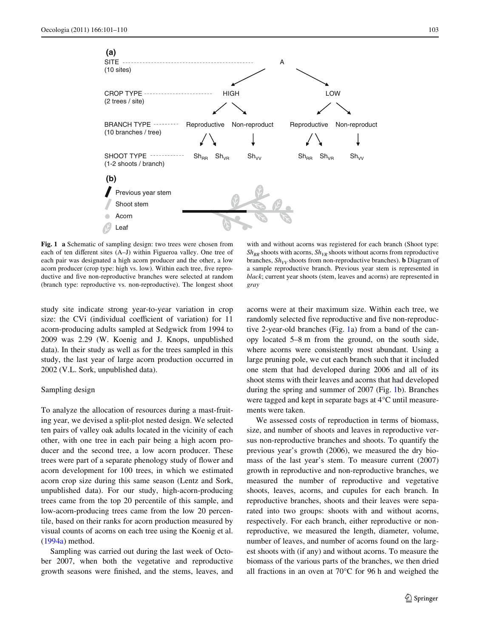**(a)**

**(b)**



<span id="page-2-0"></span>**Fig. 1 a** Schematic of sampling design: two trees were chosen from each of ten different sites (A–J) within Figueroa valley. One tree of each pair was designated a high acorn producer and the other, a low acorn producer (crop type: high vs. low). Within each tree, five reproductive and five non-reproductive branches were selected at random (branch type: reproductive vs. non-reproductive). The longest shoot

Previous year stem

Shoot stem Acorn Leaf

with and without acorns was registered for each branch (Shoot type:  $Sh_{RR}$  shoots with acorns,  $Sh_{VR}$  shoots without acorns from reproductive branches,  $Sh_{VV}$  shoots from non-reproductive branches). **b** Diagram of a sample reproductive branch. Previous year stem is represented in *black*; current year shoots (stem, leaves and acorns) are represented in *gray*

study site indicate strong year-to-year variation in crop size: the CVi (individual coefficient of variation) for 11 acorn-producing adults sampled at Sedgwick from 1994 to 2009 was 2.29 (W. Koenig and J. Knops, unpublished data). In their study as well as for the trees sampled in this study, the last year of large acorn production occurred in 2002 (V.L. Sork, unpublished data).

# Sampling design

To analyze the allocation of resources during a mast-fruiting year, we devised a split-plot nested design. We selected ten pairs of valley oak adults located in the vicinity of each other, with one tree in each pair being a high acorn producer and the second tree, a low acorn producer. These trees were part of a separate phenology study of flower and acorn development for 100 trees, in which we estimated acorn crop size during this same season (Lentz and Sork, unpublished data). For our study, high-acorn-producing trees came from the top 20 percentile of this sample, and low-acorn-producing trees came from the low 20 percentile, based on their ranks for acorn production measured by visual counts of acorns on each tree using the Koenig et al. [\(1994a\)](#page-9-27) method.

Sampling was carried out during the last week of October 2007, when both the vegetative and reproductive growth seasons were finished, and the stems, leaves, and acorns were at their maximum size. Within each tree, we randomly selected five reproductive and five non-reproductive 2-year-old branches (Fig. [1](#page-2-0)a) from a band of the canopy located 5–8 m from the ground, on the south side, where acorns were consistently most abundant. Using a large pruning pole, we cut each branch such that it included one stem that had developed during 2006 and all of its shoot stems with their leaves and acorns that had developed during the spring and summer of 2007 (Fig. [1](#page-2-0)b). Branches were tagged and kept in separate bags at 4°C until measurements were taken.

We assessed costs of reproduction in terms of biomass, size, and number of shoots and leaves in reproductive versus non-reproductive branches and shoots. To quantify the previous year's growth (2006), we measured the dry biomass of the last year's stem. To measure current (2007) growth in reproductive and non-reproductive branches, we measured the number of reproductive and vegetative shoots, leaves, acorns, and cupules for each branch. In reproductive branches, shoots and their leaves were separated into two groups: shoots with and without acorns, respectively. For each branch, either reproductive or nonreproductive, we measured the length, diameter, volume, number of leaves, and number of acorns found on the largest shoots with (if any) and without acorns. To measure the biomass of the various parts of the branches, we then dried all fractions in an oven at 70°C for 96 h and weighed the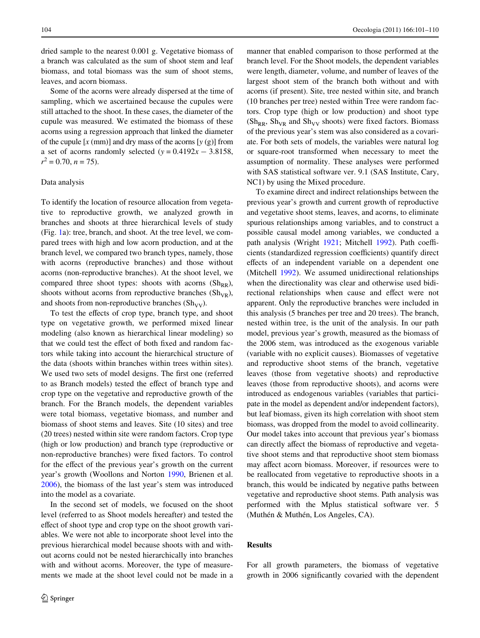dried sample to the nearest 0.001 g. Vegetative biomass of a branch was calculated as the sum of shoot stem and leaf biomass, and total biomass was the sum of shoot stems, leaves, and acorn biomass.

Some of the acorns were already dispersed at the time of sampling, which we ascertained because the cupules were still attached to the shoot. In these cases, the diameter of the cupule was measured. We estimated the biomass of these acorns using a regression approach that linked the diameter of the cupule  $[x \text{ (mm)}]$  and dry mass of the acorns  $[y (g)]$  from a set of acorns randomly selected  $(y = 0.4192x - 3.8158,$  $r^2 = 0.70, n = 75$ .

#### Data analysis

To identify the location of resource allocation from vegetative to reproductive growth, we analyzed growth in branches and shoots at three hierarchical levels of study (Fig. [1a](#page-2-0)): tree, branch, and shoot. At the tree level, we compared trees with high and low acorn production, and at the branch level, we compared two branch types, namely, those with acorns (reproductive branches) and those without acorns (non-reproductive branches). At the shoot level, we compared three shoot types: shoots with acorns  $(Sh_{RR})$ , shoots without acorns from reproductive branches  $(Sh_{VR})$ , and shoots from non-reproductive branches  $(Sh_{VV})$ .

To test the effects of crop type, branch type, and shoot type on vegetative growth, we performed mixed linear modeling (also known as hierarchical linear modeling) so that we could test the effect of both fixed and random factors while taking into account the hierarchical structure of the data (shoots within branches within trees within sites). We used two sets of model designs. The first one (referred to as Branch models) tested the effect of branch type and crop type on the vegetative and reproductive growth of the branch. For the Branch models, the dependent variables were total biomass, vegetative biomass, and number and biomass of shoot stems and leaves. Site (10 sites) and tree (20 trees) nested within site were random factors. Crop type (high or low production) and branch type (reproductive or non-reproductive branches) were fixed factors. To control for the effect of the previous year's growth on the current year's growth (Woollons and Norton [1990,](#page-9-28) Brienen et al. [2006](#page-8-17)), the biomass of the last year's stem was introduced into the model as a covariate.

In the second set of models, we focused on the shoot level (referred to as Shoot models hereafter) and tested the effect of shoot type and crop type on the shoot growth variables. We were not able to incorporate shoot level into the previous hierarchical model because shoots with and without acorns could not be nested hierarchically into branches with and without acorns. Moreover, the type of measurements we made at the shoot level could not be made in a

manner that enabled comparison to those performed at the branch level. For the Shoot models, the dependent variables were length, diameter, volume, and number of leaves of the largest shoot stem of the branch both without and with acorns (if present). Site, tree nested within site, and branch (10 branches per tree) nested within Tree were random factors. Crop type (high or low production) and shoot type ( $Sh_{RR}$ ,  $Sh_{VR}$  and  $Sh_{VV}$  shoots) were fixed factors. Biomass of the previous year's stem was also considered as a covariate. For both sets of models, the variables were natural log or square-root transformed when necessary to meet the assumption of normality. These analyses were performed with SAS statistical software ver. 9.1 (SAS Institute, Cary, NC1) by using the Mixed procedure.

To examine direct and indirect relationships between the previous year's growth and current growth of reproductive and vegetative shoot stems, leaves, and acorns, to eliminate spurious relationships among variables, and to construct a possible causal model among variables, we conducted a path analysis (Wright [1921;](#page-9-29) Mitchell [1992](#page-9-30)). Path coefficients (standardized regression coefficients) quantify direct effects of an independent variable on a dependent one (Mitchell [1992](#page-9-30)). We assumed unidirectional relationships when the directionality was clear and otherwise used bidirectional relationships when cause and effect were not apparent. Only the reproductive branches were included in this analysis (5 branches per tree and 20 trees). The branch, nested within tree, is the unit of the analysis. In our path model, previous year's growth, measured as the biomass of the 2006 stem, was introduced as the exogenous variable (variable with no explicit causes). Biomasses of vegetative and reproductive shoot stems of the branch, vegetative leaves (those from vegetative shoots) and reproductive leaves (those from reproductive shoots), and acorns were introduced as endogenous variables (variables that participate in the model as dependent and/or independent factors), but leaf biomass, given its high correlation with shoot stem biomass, was dropped from the model to avoid collinearity. Our model takes into account that previous year's biomass can directly affect the biomass of reproductive and vegetative shoot stems and that reproductive shoot stem biomass may affect acorn biomass. Moreover, if resources were to be reallocated from vegetative to reproductive shoots in a branch, this would be indicated by negative paths between vegetative and reproductive shoot stems. Path analysis was performed with the Mplus statistical software ver. 5 (Muthén & Muthén, Los Angeles, CA).

# **Results**

For all growth parameters, the biomass of vegetative growth in 2006 significantly covaried with the dependent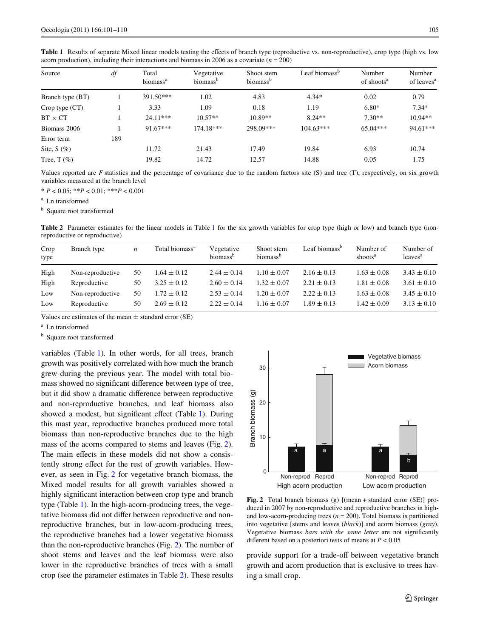| Source           | df  | Total<br>biomass <sup>a</sup> | Vegetative<br>biomass <sup>b</sup> | Shoot stem<br>biomass <sup>b</sup> | Leaf biomass <sup>b</sup> | Number<br>of shoots <sup>a</sup> | Number<br>of leaves <sup>a</sup> |
|------------------|-----|-------------------------------|------------------------------------|------------------------------------|---------------------------|----------------------------------|----------------------------------|
| Branch type (BT) |     | $391.50***$                   | 1.02                               | 4.83                               | $4.34*$                   | 0.02                             | 0.79                             |
| Crop type (CT)   |     | 3.33                          | 1.09                               | 0.18                               | 1.19                      | $6.80*$                          | $7.34*$                          |
| $BT \times CT$   |     | $24.11***$                    | $10.57**$                          | $10.89**$                          | $8.24**$                  | $7.30**$                         | $10.94**$                        |
| Biomass 2006     |     | $91.67***$                    | $174.18***$                        | 298.09***                          | $104.63***$               | $65.04***$                       | $94.61***$                       |
| Error term       | 189 |                               |                                    |                                    |                           |                                  |                                  |
| Site, $S(\%)$    |     | 11.72                         | 21.43                              | 17.49                              | 19.84                     | 6.93                             | 10.74                            |
| Tree, $T(\%)$    |     | 19.82                         | 14.72                              | 12.57                              | 14.88                     | 0.05                             | 1.75                             |
|                  |     |                               |                                    |                                    |                           |                                  |                                  |

<span id="page-4-0"></span>Table 1 Results of separate Mixed linear models testing the effects of branch type (reproductive vs. non-reproductive), crop type (high vs. low

acorn production), including their interactions and biomass in 2006 as a covariate  $(n = 200)$ 

Values reported are *F* statistics and the percentage of covariance due to the random factors site (S) and tree (T), respectively, on six growth variables measured at the branch level

\* *P* < 0.05; \*\**P* < 0.01; \*\*\**P* < 0.001

<sup>a</sup> Ln transformed

**b** Square root transformed

<span id="page-4-2"></span>**Table 2** Parameter estimates for the linear models in Table [1](#page-4-0) for the six growth variables for crop type (high or low) and branch type (nonreproductive or reproductive)

| Crop<br>type | Branch type      | $\boldsymbol{n}$ | Total biomass <sup>a</sup> | Vegetative<br>biomass <sup>b</sup> | Shoot stem<br>biomass <sup>b</sup> | Leaf biomass <sup>b</sup> | Number of<br>shoots <sup>a</sup> | Number of<br>leaves <sup>a</sup> |
|--------------|------------------|------------------|----------------------------|------------------------------------|------------------------------------|---------------------------|----------------------------------|----------------------------------|
| High         | Non-reproductive | 50               | $1.64 \pm 0.12$            | $2.44 \pm 0.14$                    | $1.10 \pm 0.07$                    | $2.16 \pm 0.13$           | $1.63 \pm 0.08$                  | $3.43 \pm 0.10$                  |
| High         | Reproductive     | 50               | $3.25 \pm 0.12$            | $2.60 \pm 0.14$                    | $1.32 \pm 0.07$                    | $2.21 \pm 0.13$           | $1.81 \pm 0.08$                  | $3.61 \pm 0.10$                  |
| Low          | Non-reproductive | 50               | $1.72 \pm 0.12$            | $2.53 \pm 0.14$                    | $1.20 \pm 0.07$                    | $2.22 \pm 0.13$           | $1.63 \pm 0.08$                  | $3.45 \pm 0.10$                  |
| Low          | Reproductive     | 50               | $2.69 \pm 0.12$            | $2.22 \pm 0.14$                    | $1.16 \pm 0.07$                    | $1.89 \pm 0.13$           | $1.42 \pm 0.09$                  | $3.13 \pm 0.10$                  |

Values are estimates of the mean  $\pm$  standard error (SE)

<sup>a</sup> Ln transformed

**b** Square root transformed

variables (Table [1](#page-4-0)). In other words, for all trees, branch growth was positively correlated with how much the branch grew during the previous year. The model with total biomass showed no significant difference between type of tree, but it did show a dramatic difference between reproductive and non-reproductive branches, and leaf biomass also showed a modest, but significant effect (Table [1](#page-4-0)). During this mast year, reproductive branches produced more total biomass than non-reproductive branches due to the high mass of the acorns compared to stems and leaves (Fig. [2](#page-4-1)). The main effects in these models did not show a consistently strong effect for the rest of growth variables. However, as seen in Fig. [2](#page-4-1) for vegetative branch biomass, the Mixed model results for all growth variables showed a highly significant interaction between crop type and branch type (Table [1](#page-4-0)). In the high-acorn-producing trees, the vegetative biomass did not differ between reproductive and nonreproductive branches, but in low-acorn-producing trees, the reproductive branches had a lower vegetative biomass than the non-reproductive branches (Fig. [2](#page-4-1)). The number of shoot stems and leaves and the leaf biomass were also lower in the reproductive branches of trees with a small crop (see the parameter estimates in Table [2](#page-4-2)). These results



<span id="page-4-1"></span>**Fig. 2** Total branch biomass (g) [(mean + standard error (SE)] produced in 2007 by non-reproductive and reproductive branches in highand low-acorn-producing trees  $(n = 200)$ . Total biomass is partitioned into vegetative [stems and leaves (*black*)] and acorn biomass (*gray*). Vegetative biomass *bars with the same letter* are not significantly

provide support for a trade-off between vegetative branch growth and acorn production that is exclusive to trees having a small crop.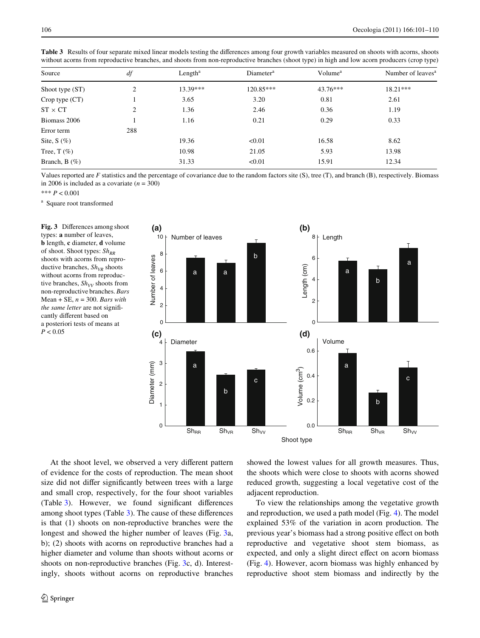| Source          | df  | Length <sup>a</sup> | Diameter <sup>a</sup> | Volume <sup>a</sup> | Number of leaves <sup>a</sup> |  |
|-----------------|-----|---------------------|-----------------------|---------------------|-------------------------------|--|
| Shoot type (ST) | 2   | 13.39***            | 120.85***             | $43.76***$          | $18.21***$                    |  |
| Crop type (CT)  |     | 3.65                | 3.20                  | 0.81                | 2.61                          |  |
| $ST \times CT$  | 2   | 1.36                | 2.46                  | 0.36                | 1.19                          |  |
| Biomass 2006    |     | 1.16                | 0.21                  | 0.29                | 0.33                          |  |
| Error term      | 288 |                     |                       |                     |                               |  |
| Site, $S(\%)$   |     | 19.36               | < 0.01                | 16.58               | 8.62                          |  |
| Tree, $T(\%)$   |     | 10.98               | 21.05                 | 5.93                | 13.98                         |  |
| Branch, $B(\%)$ |     | 31.33               | < 0.01                | 15.91               | 12.34                         |  |
|                 |     |                     |                       |                     |                               |  |

<span id="page-5-0"></span>Table 3 Results of four separate mixed linear models testing the differences among four growth variables measured on shoots with acorns, shoots without acorns from reproductive branches, and shoots from non-reproductive branches (shoot type) in high and low acorn producers (crop type)

Values reported are *F* statistics and the percentage of covariance due to the random factors site (S), tree (T), and branch (B), respectively. Biomass in 2006 is included as a covariate  $(n = 300)$ 

\*\*\* *P* < 0.001

<sup>a</sup> Square root transformed

<span id="page-5-1"></span>Fig. 3 Differences among shoot types: **a** number of leaves, **b** length, **c** diameter, **d** volume of shoot. Shoot types:  $Sh_{RR}$ shoots with acorns from reproductive branches,  $Sh_{VR}$  shoots without acorns from reproductive branches,  $Sh_{VV}$  shoots from non-reproductive branches. *Bars* Mean + SE, *n* = 300. *Bars with the same letter* are not significantly different based on a posteriori tests of means at  $P < 0.05$ 



At the shoot level, we observed a very different pattern of evidence for the costs of reproduction. The mean shoot size did not differ significantly between trees with a large and small crop, respectively, for the four shoot variables  $(Table 3)$  $(Table 3)$ . However, we found significant differences among shoot types (Table  $3$ ). The cause of these differences is that (1) shoots on non-reproductive branches were the longest and showed the higher number of leaves (Fig. [3](#page-5-1)a, b); (2) shoots with acorns on reproductive branches had a higher diameter and volume than shoots without acorns or shoots on non-reproductive branches (Fig. [3](#page-5-1)c, d). Interestingly, shoots without acorns on reproductive branches showed the lowest values for all growth measures. Thus, the shoots which were close to shoots with acorns showed reduced growth, suggesting a local vegetative cost of the adjacent reproduction.

To view the relationships among the vegetative growth and reproduction, we used a path model (Fig. [4](#page-6-0)). The model explained 53% of the variation in acorn production. The previous year's biomass had a strong positive effect on both reproductive and vegetative shoot stem biomass, as expected, and only a slight direct effect on acorn biomass (Fig. [4\)](#page-6-0). However, acorn biomass was highly enhanced by reproductive shoot stem biomass and indirectly by the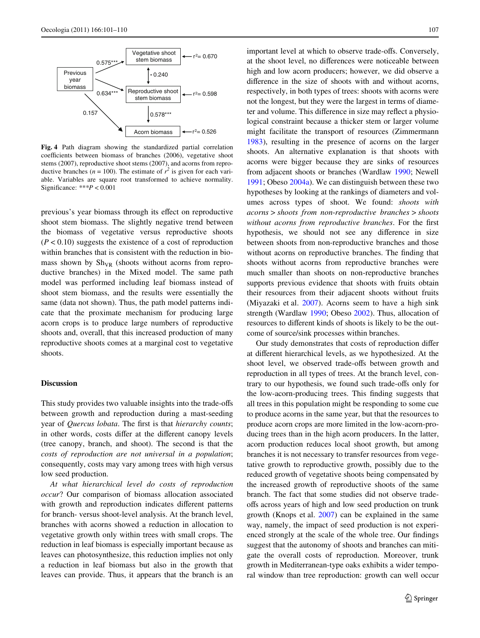

<span id="page-6-0"></span>**Fig. 4** Path diagram showing the standardized partial correlation coefficients between biomass of branches (2006), vegetative shoot stems (2007), reproductive shoot stems (2007), and acorns from reproductive branches ( $n = 100$ ). The estimate of  $r^2$  is given for each variable. Variables are square root transformed to achieve normality. Significance:  $**P < 0.001$ 

previous's year biomass through its effect on reproductive shoot stem biomass. The slightly negative trend between the biomass of vegetative versus reproductive shoots  $(P < 0.10)$  suggests the existence of a cost of reproduction within branches that is consistent with the reduction in biomass shown by  $\mathrm{Sh}_{VR}$  (shoots without acorns from reproductive branches) in the Mixed model. The same path model was performed including leaf biomass instead of shoot stem biomass, and the results were essentially the same (data not shown). Thus, the path model patterns indicate that the proximate mechanism for producing large acorn crops is to produce large numbers of reproductive shoots and, overall, that this increased production of many reproductive shoots comes at a marginal cost to vegetative shoots.

## **Discussion**

This study provides two valuable insights into the trade-offs between growth and reproduction during a mast-seeding year of *Quercus lobata*. The first is that *hierarchy counts*; in other words, costs differ at the different canopy levels (tree canopy, branch, and shoot). The second is that the *costs of reproduction are not universal in a population*; consequently, costs may vary among trees with high versus low seed production.

*At what hierarchical level do costs of reproduction occur*? Our comparison of biomass allocation associated with growth and reproduction indicates different patterns for branch- versus shoot-level analysis. At the branch level, branches with acorns showed a reduction in allocation to vegetative growth only within trees with small crops. The reduction in leaf biomass is especially important because as leaves can photosynthesize, this reduction implies not only a reduction in leaf biomass but also in the growth that leaves can provide. Thus, it appears that the branch is an important level at which to observe trade-offs. Conversely, at the shoot level, no differences were noticeable between high and low acorn producers; however, we did observe a difference in the size of shoots with and without acorns, respectively, in both types of trees: shoots with acorns were not the longest, but they were the largest in terms of diameter and volume. This difference in size may reflect a physiological constraint because a thicker stem or larger volume might facilitate the transport of resources (Zimmermann [1983](#page-9-31)), resulting in the presence of acorns on the larger shoots. An alternative explanation is that shoots with acorns were bigger because they are sinks of resources from adjacent shoots or branches (Wardlaw [1990](#page-9-32); Newell [1991](#page-9-33); Obeso [2004a\)](#page-9-17). We can distinguish between these two hypotheses by looking at the rankings of diameters and volumes across types of shoot. We found: *shoots with acorns* > *shoots from non*-*reproductive branches* > *shoots without acorns from reproductive branches*. For the first hypothesis, we should not see any difference in size between shoots from non-reproductive branches and those without acorns on reproductive branches. The finding that shoots without acorns from reproductive branches were much smaller than shoots on non-reproductive branches supports previous evidence that shoots with fruits obtain their resources from their adjacent shoots without fruits (Miyazaki et al. [2007\)](#page-9-34). Acorns seem to have a high sink strength (Wardlaw [1990;](#page-9-32) Obeso [2002\)](#page-9-2). Thus, allocation of resources to different kinds of shoots is likely to be the outcome of source/sink processes within branches.

Our study demonstrates that costs of reproduction differ at different hierarchical levels, as we hypothesized. At the shoot level, we observed trade-offs between growth and reproduction in all types of trees. At the branch level, contrary to our hypothesis, we found such trade-offs only for the low-acorn-producing trees. This finding suggests that all trees in this population might be responding to some cue to produce acorns in the same year, but that the resources to produce acorn crops are more limited in the low-acorn-producing trees than in the high acorn producers. In the latter, acorn production reduces local shoot growth, but among branches it is not necessary to transfer resources from vegetative growth to reproductive growth, possibly due to the reduced growth of vegetative shoots being compensated by the increased growth of reproductive shoots of the same branch. The fact that some studies did not observe tradeoffs across years of high and low seed production on trunk growth (Knops et al. [2007\)](#page-9-16) can be explained in the same way, namely, the impact of seed production is not experienced strongly at the scale of the whole tree. Our findings suggest that the autonomy of shoots and branches can mitigate the overall costs of reproduction. Moreover, trunk growth in Mediterranean-type oaks exhibits a wider temporal window than tree reproduction: growth can well occur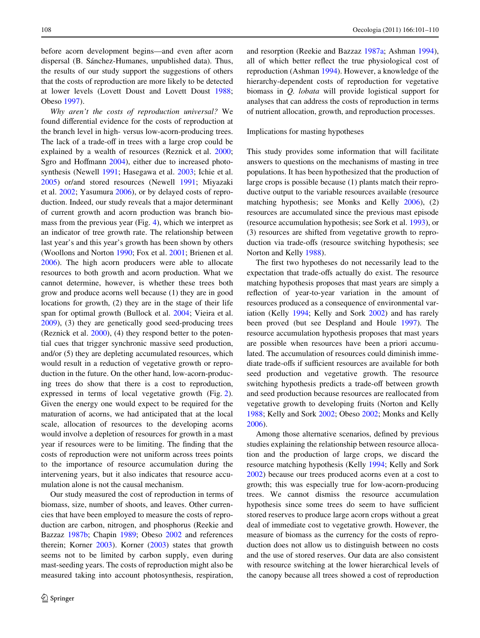before acorn development begins—and even after acorn dispersal (B. Sánchez-Humanes, unpublished data). Thus, the results of our study support the suggestions of others that the costs of reproduction are more likely to be detected at lower levels (Lovett Doust and Lovett Doust [1988](#page-9-35); Obeso [1997](#page-9-18)).

*Why aren't the costs of reproduction universal?* We found differential evidence for the costs of reproduction at the branch level in high- versus low-acorn-producing trees. The lack of a trade-off in trees with a large crop could be explained by a wealth of resources (Reznick et al. [2000](#page-9-36); Sgro and Hoffmann  $2004$ ), either due to increased photosynthesis (Newell [1991;](#page-9-33) Hasegawa et al. [2003](#page-8-12); Ichie et al. [2005](#page-8-18)) or/and stored resources (Newell [1991;](#page-9-33) Miyazaki et al. [2002](#page-9-38); Yasumura [2006](#page-9-9)), or by delayed costs of reproduction. Indeed, our study reveals that a major determinant of current growth and acorn production was branch biomass from the previous year (Fig. [4](#page-6-0)), which we interpret as an indicator of tree growth rate. The relationship between last year's and this year's growth has been shown by others (Woollons and Norton [1990](#page-9-28); Fox et al. [2001;](#page-8-19) Brienen et al. [2006](#page-8-17)). The high acorn producers were able to allocate resources to both growth and acorn production. What we cannot determine, however, is whether these trees both grow and produce acorns well because (1) they are in good locations for growth, (2) they are in the stage of their life span for optimal growth (Bullock et al. [2004](#page-8-20); Vieira et al. [2009](#page-9-39)), (3) they are genetically good seed-producing trees (Reznick et al. [2000\)](#page-9-36), (4) they respond better to the potential cues that trigger synchronic massive seed production, and/or (5) they are depleting accumulated resources, which would result in a reduction of vegetative growth or reproduction in the future. On the other hand, low-acorn-producing trees do show that there is a cost to reproduction, expressed in terms of local vegetative growth (Fig. [2](#page-4-1)). Given the energy one would expect to be required for the maturation of acorns, we had anticipated that at the local scale, allocation of resources to the developing acorns would involve a depletion of resources for growth in a mast year if resources were to be limiting. The finding that the costs of reproduction were not uniform across trees points to the importance of resource accumulation during the intervening years, but it also indicates that resource accumulation alone is not the causal mechanism.

Our study measured the cost of reproduction in terms of biomass, size, number of shoots, and leaves. Other currencies that have been employed to measure the costs of reproduction are carbon, nitrogen, and phosphorus (Reekie and Bazzaz [1987b;](#page-9-40) Chapin [1989;](#page-8-21) Obeso [2002](#page-9-2) and references therein; Korner [2003](#page-9-41)). Korner [\(2003](#page-9-41)) states that growth seems not to be limited by carbon supply, even during mast-seeding years. The costs of reproduction might also be measured taking into account photosynthesis, respiration,

and resorption (Reekie and Bazzaz [1987a;](#page-9-42) Ashman [1994](#page-8-22)), all of which better reflect the true physiological cost of reproduction (Ashman [1994\)](#page-8-22). However, a knowledge of the hierarchy-dependent costs of reproduction for vegetative biomass in *Q. lobata* will provide logistical support for analyses that can address the costs of reproduction in terms of nutrient allocation, growth, and reproduction processes.

# Implications for masting hypotheses

This study provides some information that will facilitate answers to questions on the mechanisms of masting in tree populations. It has been hypothesized that the production of large crops is possible because (1) plants match their reproductive output to the variable resources available (resource matching hypothesis; see Monks and Kelly [2006](#page-9-6)), (2) resources are accumulated since the previous mast episode (resource accumulation hypothesis; see Sork et al. [1993\)](#page-9-12), or (3) resources are shifted from vegetative growth to reproduction via trade-offs (resource switching hypothesis; see Norton and Kelly [1988\)](#page-9-11).

The first two hypotheses do not necessarily lead to the expectation that trade-offs actually do exist. The resource matching hypothesis proposes that mast years are simply a reflection of year-to-year variation in the amount of resources produced as a consequence of environmental variation (Kelly [1994;](#page-8-3) Kelly and Sork [2002](#page-8-4)) and has rarely been proved (but see Despland and Houle [1997](#page-8-8)). The resource accumulation hypothesis proposes that mast years are possible when resources have been a priori accumulated. The accumulation of resources could diminish immediate trade-offs if sufficient resources are available for both seed production and vegetative growth. The resource switching hypothesis predicts a trade-off between growth and seed production because resources are reallocated from vegetative growth to developing fruits (Norton and Kelly [1988](#page-9-11); Kelly and Sork [2002](#page-8-4); Obeso [2002;](#page-9-2) Monks and Kelly [2006](#page-9-6)).

Among those alternative scenarios, defined by previous studies explaining the relationship between resource allocation and the production of large crops, we discard the resource matching hypothesis (Kelly [1994](#page-8-3); Kelly and Sork [2002](#page-8-4)) because our trees produced acorns even at a cost to growth; this was especially true for low-acorn-producing trees. We cannot dismiss the resource accumulation hypothesis since some trees do seem to have sufficient stored reserves to produce large acorn crops without a great deal of immediate cost to vegetative growth. However, the measure of biomass as the currency for the costs of reproduction does not allow us to distinguish between no costs and the use of stored reserves. Our data are also consistent with resource switching at the lower hierarchical levels of the canopy because all trees showed a cost of reproduction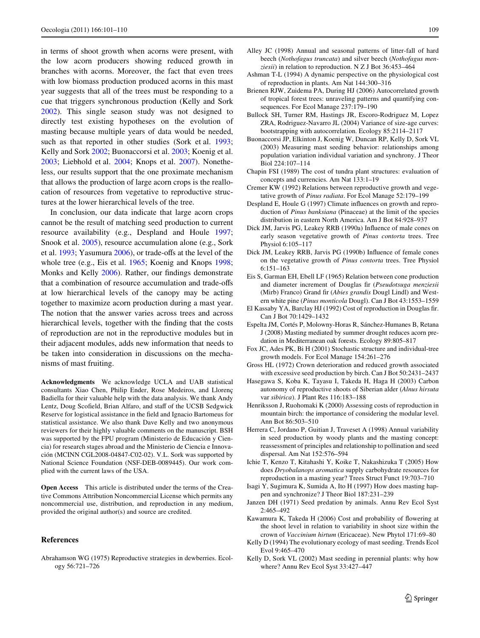in terms of shoot growth when acorns were present, with the low acorn producers showing reduced growth in branches with acorns. Moreover, the fact that even trees with low biomass production produced acorns in this mast year suggests that all of the trees must be responding to a cue that triggers synchronous production (Kelly and Sork [2002](#page-8-4)). This single season study was not designed to directly test existing hypotheses on the evolution of masting because multiple years of data would be needed, such as that reported in other studies (Sork et al. [1993](#page-9-12); Kelly and Sork [2002;](#page-8-4) Buonaccorsi et al. [2003;](#page-8-23) Koenig et al. [2003](#page-9-43); Liebhold et al. [2004;](#page-9-44) Knops et al. [2007](#page-9-16)). Nonetheless, our results support that the one proximate mechanism that allows the production of large acorn crops is the reallocation of resources from vegetative to reproductive structures at the lower hierarchical levels of the tree.

In conclusion, our data indicate that large acorn crops cannot be the result of matching seed production to current resource availability (e.g., Despland and Houle [1997](#page-8-8); Snook et al. [2005](#page-9-15)), resource accumulation alone (e.g., Sork et al.  $1993$ ; Yasumura [2006](#page-9-9)), or trade-offs at the level of the whole tree (e.g., Eis et al. [1965;](#page-8-24) Koenig and Knops [1998](#page-9-5); Monks and Kelly [2006\)](#page-9-6). Rather, our findings demonstrate that a combination of resource accumulation and trade-offs at low hierarchical levels of the canopy may be acting together to maximize acorn production during a mast year. The notion that the answer varies across trees and across hierarchical levels, together with the finding that the costs of reproduction are not in the reproductive modules but in their adjacent modules, adds new information that needs to be taken into consideration in discussions on the mechanisms of mast fruiting.

**Acknowledgments** We acknowledge UCLA and UAB statistical consultants Xiao Chen, Philip Ender, Rose Medeiros, and Llorenç Badiella for their valuable help with the data analysis. We thank Andy Lentz, Doug Scofield, Brian Alfaro, and staff of the UCSB Sedgwick Reserve for logistical assistance in the field and Ignacio Bartomeus for statistical assistance. We also thank Dave Kelly and two anonymous reviewers for their highly valuable comments on the manuscript. BSH was supported by the FPU program (Ministerio de Educación y Ciencia) for research stages abroad and the Ministerio de Ciencia e Innovación (MCINN CGL2008-04847-C02-02). V.L. Sork was supported by National Science Foundation (NSF-DEB-0089445). Our work complied with the current laws of the USA.

**Open Access** This article is distributed under the terms of the Creative Commons Attribution Noncommercial License which permits any noncommercial use, distribution, and reproduction in any medium, provided the original author(s) and source are credited.

## **References**

<span id="page-8-1"></span>Abrahamson WG (1975) Reproductive strategies in dewberries. Ecology 56:721–726

- <span id="page-8-9"></span>Alley JC (1998) Annual and seasonal patterns of litter-fall of hard beech (*Nothofagus truncata*) and silver beech (*Nothofagus menziesii*) in relation to reproduction. N Z J Bot 36:453–464
- <span id="page-8-22"></span>Ashman T-L (1994) A dynamic perspective on the physiological cost of reproduction in plants. Am Nat 144:300–316
- <span id="page-8-17"></span>Brienen RJW, Zuidema PA, During HJ (2006) Autocorrelated growth of tropical forest trees: unraveling patterns and quantifying consequences. For Ecol Manage 237:179–190
- <span id="page-8-20"></span>Bullock SH, Turner RM, Hastings JR, Escoro-Rodriguez M, Lopez ZRA, Rodriguez-Navarro JL (2004) Variance of size-age curves: bootstrapping with autocorrelation. Ecology 85:2114–2117
- <span id="page-8-23"></span>Buonaccorsi JP, Elkinton J, Koenig W, Duncan RP, Kelly D, Sork VL (2003) Measuring mast seeding behavior: relationships among population variation individual variation and synchrony. J Theor Biol 224:107–114
- <span id="page-8-21"></span>Chapin FSI (1989) The cost of tundra plant structures: evaluation of concepts and currencies. Am Nat 133:1–19
- <span id="page-8-7"></span>Cremer KW (1992) Relations between reproductive growth and vegetative growth of *Pinus radiata*. For Ecol Manage 52:179–199
- <span id="page-8-8"></span>Despland E, Houle G (1997) Climate influences on growth and reproduction of *Pinus banksiana* (Pinaceae) at the limit of the species distribution in eastern North America. Am J Bot 84:928–937
- <span id="page-8-10"></span>Dick JM, Jarvis PG, Leakey RRB (1990a) Influence of male cones on early season vegetative growth of *Pinus contorta* trees. Tree Physiol 6:105–117
- <span id="page-8-6"></span>Dick JM, Leakey RRB, Jarvis PG (1990b) Influence of female cones on the vegetative growth of *Pinus contorta* trees. Tree Physiol 6:151–163
- <span id="page-8-24"></span>Eis S, Garman EH, Ebell LF (1965) Relation between cone production and diameter increment of Douglas fir (Pseudotsuga menziesii (Mirb) Franco) Grand fir (*Abies grandis* Dougl Lindl) and Western white pine (*Pinus monticola* Dougl). Can J Bot 43:1553–1559
- <span id="page-8-2"></span>El Kassaby YA, Barclay HJ (1992) Cost of reproduction in Douglas fir. Can J Bot 70:1429–1432
- <span id="page-8-16"></span>Espelta JM, Cortés P, Molowny-Horas R, Sánchez-Humanes B, Retana J (2008) Masting mediated by summer drought reduces acorn predation in Mediterranean oak forests. Ecology 89:805–817
- <span id="page-8-19"></span>Fox JC, Ades PK, Bi H (2001) Stochastic structure and individual-tree growth models. For Ecol Manage 154:261–276
- <span id="page-8-0"></span>Gross HL (1972) Crown deterioration and reduced growth associated with excessive seed production by birch. Can J Bot 50:2431–2437
- <span id="page-8-12"></span>Hasegawa S, Koba K, Tayasu I, Takeda H, Haga H (2003) Carbon autonomy of reproductive shoots of Siberian alder (*Alnus hirsuta* var *sibirica*). J Plant Res 116:183–188
- <span id="page-8-11"></span>Henriksson J, Ruohomaki K (2000) Assessing costs of reproduction in mountain birch: the importance of considering the modular level. Ann Bot 86:503–510
- <span id="page-8-15"></span>Herrera C, Jordano P, Guitian J, Traveset A (1998) Annual variability in seed production by woody plants and the masting concept: reassessment of principles and relationship to pollination and seed dispersal. Am Nat 152:576–594
- <span id="page-8-18"></span>Ichie T, Kenzo T, Kitahashi Y, Koike T, Nakashizuka T (2005) How does *Dryobalanops aromatica* supply carbohydrate resources for reproduction in a masting year? Trees Struct Funct 19:703–710
- <span id="page-8-14"></span>Isagi Y, Sugimura K, Sumida A, Ito H (1997) How does masting happen and synchronize? J Theor Biol 187:231–239
- <span id="page-8-5"></span>Janzen DH (1971) Seed predation by animals. Annu Rev Ecol Syst 2:465–492
- <span id="page-8-13"></span>Kawamura K, Takeda H (2006) Cost and probability of flowering at the shoot level in relation to variability in shoot size within the crown of *Vaccinium hirtum* (Ericaceae). New Phytol 171:69–80
- <span id="page-8-3"></span>Kelly D (1994) The evolutionary ecology of mast seeding. Trends Ecol Evol 9:465–470
- <span id="page-8-4"></span>Kelly D, Sork VL (2002) Mast seeding in perennial plants: why how where? Annu Rev Ecol Syst 33:427–447